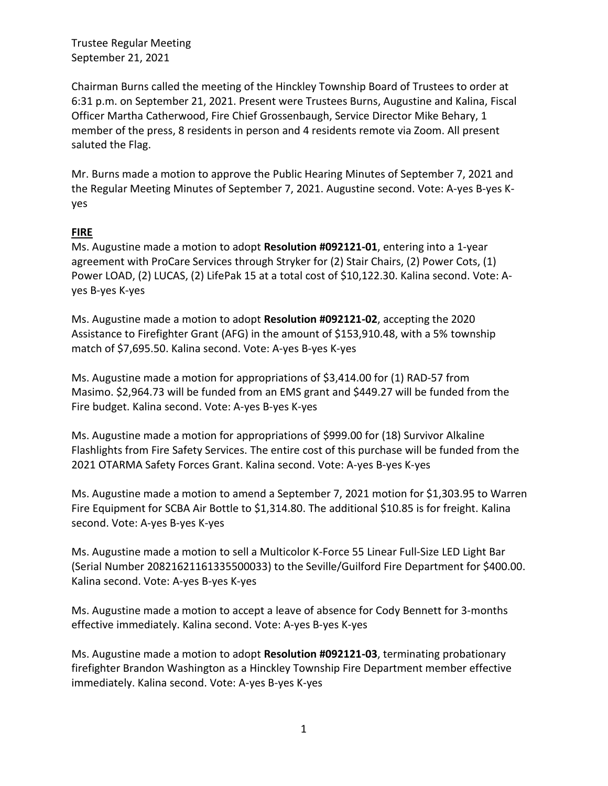Chairman Burns called the meeting of the Hinckley Township Board of Trustees to order at 6:31 p.m. on September 21, 2021. Present were Trustees Burns, Augustine and Kalina, Fiscal Officer Martha Catherwood, Fire Chief Grossenbaugh, Service Director Mike Behary, 1 member of the press, 8 residents in person and 4 residents remote via Zoom. All present saluted the Flag.

Mr. Burns made a motion to approve the Public Hearing Minutes of September 7, 2021 and the Regular Meeting Minutes of September 7, 2021. Augustine second. Vote: A-yes B-yes Kyes

### **FIRE**

Ms. Augustine made a motion to adopt **Resolution #092121-01**, entering into a 1-year agreement with ProCare Services through Stryker for (2) Stair Chairs, (2) Power Cots, (1) Power LOAD, (2) LUCAS, (2) LifePak 15 at a total cost of \$10,122.30. Kalina second. Vote: Ayes B-yes K-yes

Ms. Augustine made a motion to adopt **Resolution #092121-02**, accepting the 2020 Assistance to Firefighter Grant (AFG) in the amount of \$153,910.48, with a 5% township match of \$7,695.50. Kalina second. Vote: A-yes B-yes K-yes

Ms. Augustine made a motion for appropriations of \$3,414.00 for (1) RAD-57 from Masimo. \$2,964.73 will be funded from an EMS grant and \$449.27 will be funded from the Fire budget. Kalina second. Vote: A-yes B-yes K-yes

Ms. Augustine made a motion for appropriations of \$999.00 for (18) Survivor Alkaline Flashlights from Fire Safety Services. The entire cost of this purchase will be funded from the 2021 OTARMA Safety Forces Grant. Kalina second. Vote: A-yes B-yes K-yes

Ms. Augustine made a motion to amend a September 7, 2021 motion for \$1,303.95 to Warren Fire Equipment for SCBA Air Bottle to \$1,314.80. The additional \$10.85 is for freight. Kalina second. Vote: A-yes B-yes K-yes

Ms. Augustine made a motion to sell a Multicolor K-Force 55 Linear Full-Size LED Light Bar (Serial Number 20821621161335500033) to the Seville/Guilford Fire Department for \$400.00. Kalina second. Vote: A-yes B-yes K-yes

Ms. Augustine made a motion to accept a leave of absence for Cody Bennett for 3-months effective immediately. Kalina second. Vote: A-yes B-yes K-yes

Ms. Augustine made a motion to adopt **Resolution #092121-03**, terminating probationary firefighter Brandon Washington as a Hinckley Township Fire Department member effective immediately. Kalina second. Vote: A-yes B-yes K-yes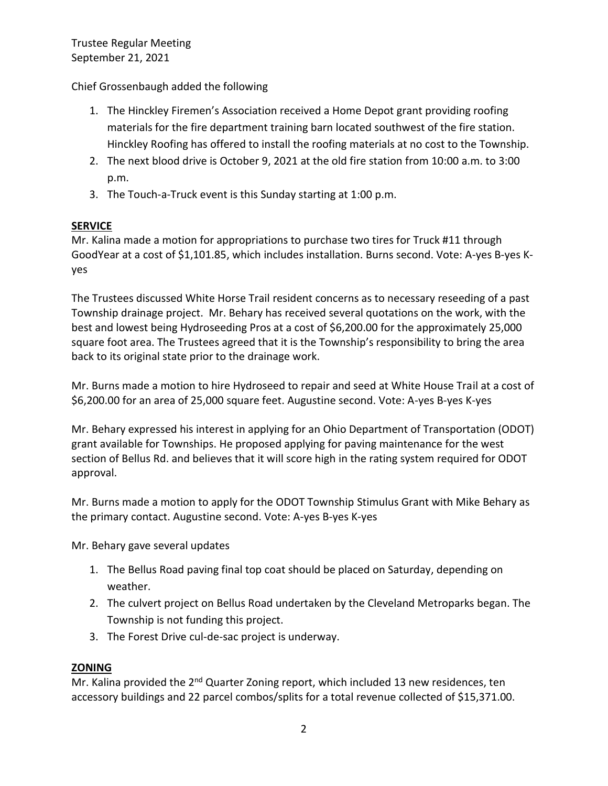Chief Grossenbaugh added the following

- 1. The Hinckley Firemen's Association received a Home Depot grant providing roofing materials for the fire department training barn located southwest of the fire station. Hinckley Roofing has offered to install the roofing materials at no cost to the Township.
- 2. The next blood drive is October 9, 2021 at the old fire station from 10:00 a.m. to 3:00 p.m.
- 3. The Touch-a-Truck event is this Sunday starting at 1:00 p.m.

## **SERVICE**

Mr. Kalina made a motion for appropriations to purchase two tires for Truck #11 through GoodYear at a cost of \$1,101.85, which includes installation. Burns second. Vote: A-yes B-yes Kyes

The Trustees discussed White Horse Trail resident concerns as to necessary reseeding of a past Township drainage project. Mr. Behary has received several quotations on the work, with the best and lowest being Hydroseeding Pros at a cost of \$6,200.00 for the approximately 25,000 square foot area. The Trustees agreed that it is the Township's responsibility to bring the area back to its original state prior to the drainage work.

Mr. Burns made a motion to hire Hydroseed to repair and seed at White House Trail at a cost of \$6,200.00 for an area of 25,000 square feet. Augustine second. Vote: A-yes B-yes K-yes

Mr. Behary expressed his interest in applying for an Ohio Department of Transportation (ODOT) grant available for Townships. He proposed applying for paving maintenance for the west section of Bellus Rd. and believes that it will score high in the rating system required for ODOT approval.

Mr. Burns made a motion to apply for the ODOT Township Stimulus Grant with Mike Behary as the primary contact. Augustine second. Vote: A-yes B-yes K-yes

Mr. Behary gave several updates

- 1. The Bellus Road paving final top coat should be placed on Saturday, depending on weather.
- 2. The culvert project on Bellus Road undertaken by the Cleveland Metroparks began. The Township is not funding this project.
- 3. The Forest Drive cul-de-sac project is underway.

# **ZONING**

Mr. Kalina provided the 2<sup>nd</sup> Quarter Zoning report, which included 13 new residences, ten accessory buildings and 22 parcel combos/splits for a total revenue collected of \$15,371.00.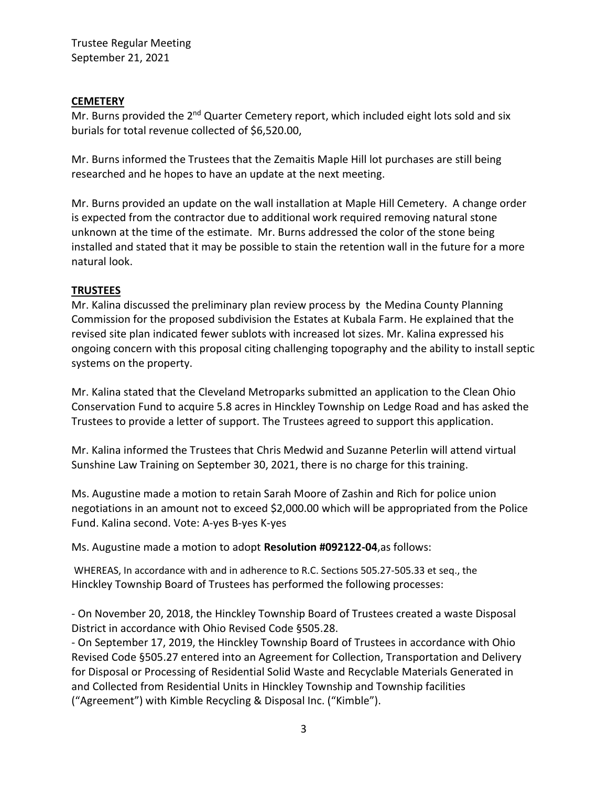### **CEMETERY**

Mr. Burns provided the 2<sup>nd</sup> Quarter Cemetery report, which included eight lots sold and six burials for total revenue collected of \$6,520.00,

Mr. Burns informed the Trustees that the Zemaitis Maple Hill lot purchases are still being researched and he hopes to have an update at the next meeting.

Mr. Burns provided an update on the wall installation at Maple Hill Cemetery. A change order is expected from the contractor due to additional work required removing natural stone unknown at the time of the estimate. Mr. Burns addressed the color of the stone being installed and stated that it may be possible to stain the retention wall in the future for a more natural look.

### **TRUSTEES**

Mr. Kalina discussed the preliminary plan review process by the Medina County Planning Commission for the proposed subdivision the Estates at Kubala Farm. He explained that the revised site plan indicated fewer sublots with increased lot sizes. Mr. Kalina expressed his ongoing concern with this proposal citing challenging topography and the ability to install septic systems on the property.

Mr. Kalina stated that the Cleveland Metroparks submitted an application to the Clean Ohio Conservation Fund to acquire 5.8 acres in Hinckley Township on Ledge Road and has asked the Trustees to provide a letter of support. The Trustees agreed to support this application.

Mr. Kalina informed the Trustees that Chris Medwid and Suzanne Peterlin will attend virtual Sunshine Law Training on September 30, 2021, there is no charge for this training.

Ms. Augustine made a motion to retain Sarah Moore of Zashin and Rich for police union negotiations in an amount not to exceed \$2,000.00 which will be appropriated from the Police Fund. Kalina second. Vote: A-yes B-yes K-yes

Ms. Augustine made a motion to adopt **Resolution #092122-04**,as follows:

WHEREAS, In accordance with and in adherence to R.C. Sections 505.27-505.33 et seq., the Hinckley Township Board of Trustees has performed the following processes:

- On November 20, 2018, the Hinckley Township Board of Trustees created a waste Disposal District in accordance with Ohio Revised Code §505.28.

- On September 17, 2019, the Hinckley Township Board of Trustees in accordance with Ohio Revised Code §505.27 entered into an Agreement for Collection, Transportation and Delivery for Disposal or Processing of Residential Solid Waste and Recyclable Materials Generated in and Collected from Residential Units in Hinckley Township and Township facilities ("Agreement") with Kimble Recycling & Disposal Inc. ("Kimble").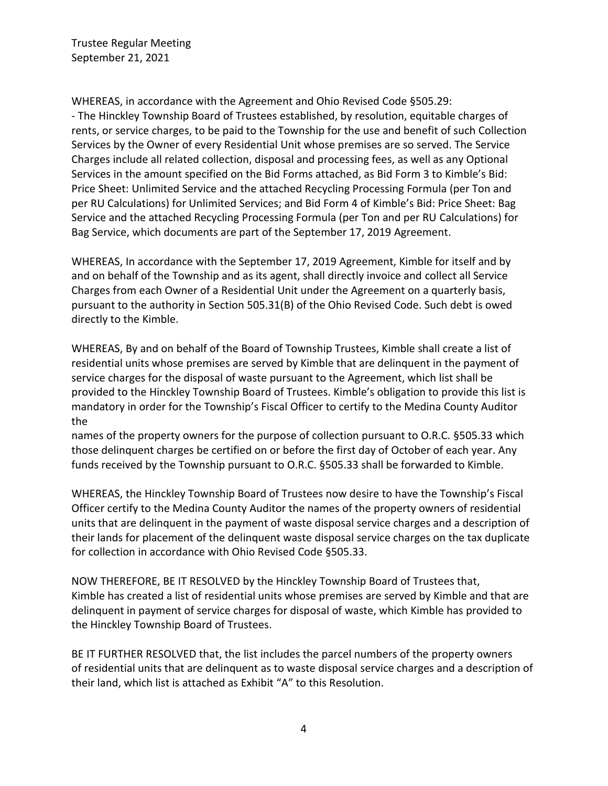WHEREAS, in accordance with the Agreement and Ohio Revised Code §505.29: - The Hinckley Township Board of Trustees established, by resolution, equitable charges of rents, or service charges, to be paid to the Township for the use and benefit of such Collection Services by the Owner of every Residential Unit whose premises are so served. The Service Charges include all related collection, disposal and processing fees, as well as any Optional Services in the amount specified on the Bid Forms attached, as Bid Form 3 to Kimble's Bid: Price Sheet: Unlimited Service and the attached Recycling Processing Formula (per Ton and per RU Calculations) for Unlimited Services; and Bid Form 4 of Kimble's Bid: Price Sheet: Bag Service and the attached Recycling Processing Formula (per Ton and per RU Calculations) for Bag Service, which documents are part of the September 17, 2019 Agreement.

WHEREAS, In accordance with the September 17, 2019 Agreement, Kimble for itself and by and on behalf of the Township and as its agent, shall directly invoice and collect all Service Charges from each Owner of a Residential Unit under the Agreement on a quarterly basis, pursuant to the authority in Section 505.31(B) of the Ohio Revised Code. Such debt is owed directly to the Kimble.

WHEREAS, By and on behalf of the Board of Township Trustees, Kimble shall create a list of residential units whose premises are served by Kimble that are delinquent in the payment of service charges for the disposal of waste pursuant to the Agreement, which list shall be provided to the Hinckley Township Board of Trustees. Kimble's obligation to provide this list is mandatory in order for the Township's Fiscal Officer to certify to the Medina County Auditor the

names of the property owners for the purpose of collection pursuant to O.R.C. §505.33 which those delinquent charges be certified on or before the first day of October of each year. Any funds received by the Township pursuant to O.R.C. §505.33 shall be forwarded to Kimble.

WHEREAS, the Hinckley Township Board of Trustees now desire to have the Township's Fiscal Officer certify to the Medina County Auditor the names of the property owners of residential units that are delinquent in the payment of waste disposal service charges and a description of their lands for placement of the delinquent waste disposal service charges on the tax duplicate for collection in accordance with Ohio Revised Code §505.33.

NOW THEREFORE, BE IT RESOLVED by the Hinckley Township Board of Trustees that, Kimble has created a list of residential units whose premises are served by Kimble and that are delinquent in payment of service charges for disposal of waste, which Kimble has provided to the Hinckley Township Board of Trustees.

BE IT FURTHER RESOLVED that, the list includes the parcel numbers of the property owners of residential units that are delinquent as to waste disposal service charges and a description of their land, which list is attached as Exhibit "A" to this Resolution.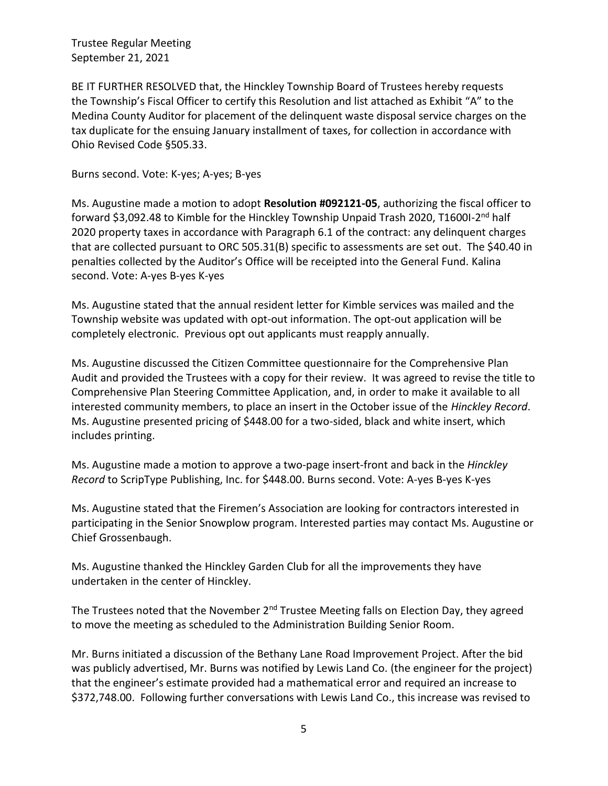BE IT FURTHER RESOLVED that, the Hinckley Township Board of Trustees hereby requests the Township's Fiscal Officer to certify this Resolution and list attached as Exhibit "A" to the Medina County Auditor for placement of the delinquent waste disposal service charges on the tax duplicate for the ensuing January installment of taxes, for collection in accordance with Ohio Revised Code §505.33.

Burns second. Vote: K-yes; A-yes; B-yes

Ms. Augustine made a motion to adopt **Resolution #092121-05**, authorizing the fiscal officer to forward \$3,092.48 to Kimble for the Hinckley Township Unpaid Trash 2020, T1600I-2<sup>nd</sup> half 2020 property taxes in accordance with Paragraph 6.1 of the contract: any delinquent charges that are collected pursuant to ORC 505.31(B) specific to assessments are set out. The \$40.40 in penalties collected by the Auditor's Office will be receipted into the General Fund. Kalina second. Vote: A-yes B-yes K-yes

Ms. Augustine stated that the annual resident letter for Kimble services was mailed and the Township website was updated with opt-out information. The opt-out application will be completely electronic. Previous opt out applicants must reapply annually.

Ms. Augustine discussed the Citizen Committee questionnaire for the Comprehensive Plan Audit and provided the Trustees with a copy for their review. It was agreed to revise the title to Comprehensive Plan Steering Committee Application, and, in order to make it available to all interested community members, to place an insert in the October issue of the *Hinckley Record*. Ms. Augustine presented pricing of \$448.00 for a two-sided, black and white insert, which includes printing.

Ms. Augustine made a motion to approve a two-page insert-front and back in the *Hinckley Record* to ScripType Publishing, Inc. for \$448.00. Burns second. Vote: A-yes B-yes K-yes

Ms. Augustine stated that the Firemen's Association are looking for contractors interested in participating in the Senior Snowplow program. Interested parties may contact Ms. Augustine or Chief Grossenbaugh.

Ms. Augustine thanked the Hinckley Garden Club for all the improvements they have undertaken in the center of Hinckley.

The Trustees noted that the November 2<sup>nd</sup> Trustee Meeting falls on Election Day, they agreed to move the meeting as scheduled to the Administration Building Senior Room.

Mr. Burns initiated a discussion of the Bethany Lane Road Improvement Project. After the bid was publicly advertised, Mr. Burns was notified by Lewis Land Co. (the engineer for the project) that the engineer's estimate provided had a mathematical error and required an increase to \$372,748.00. Following further conversations with Lewis Land Co., this increase was revised to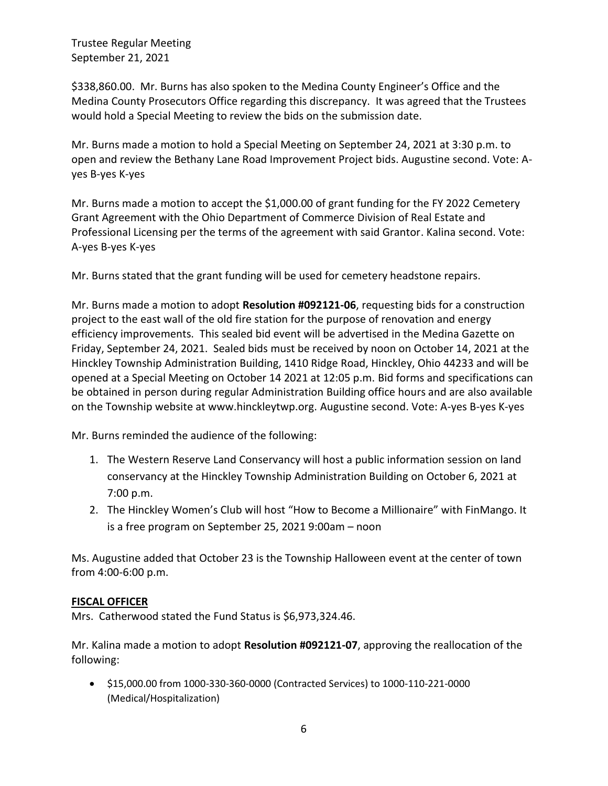\$338,860.00. Mr. Burns has also spoken to the Medina County Engineer's Office and the Medina County Prosecutors Office regarding this discrepancy. It was agreed that the Trustees would hold a Special Meeting to review the bids on the submission date.

Mr. Burns made a motion to hold a Special Meeting on September 24, 2021 at 3:30 p.m. to open and review the Bethany Lane Road Improvement Project bids. Augustine second. Vote: Ayes B-yes K-yes

Mr. Burns made a motion to accept the \$1,000.00 of grant funding for the FY 2022 Cemetery Grant Agreement with the Ohio Department of Commerce Division of Real Estate and Professional Licensing per the terms of the agreement with said Grantor. Kalina second. Vote: A-yes B-yes K-yes

Mr. Burns stated that the grant funding will be used for cemetery headstone repairs.

Mr. Burns made a motion to adopt **Resolution #092121-06**, requesting bids for a construction project to the east wall of the old fire station for the purpose of renovation and energy efficiency improvements. This sealed bid event will be advertised in the Medina Gazette on Friday, September 24, 2021. Sealed bids must be received by noon on October 14, 2021 at the Hinckley Township Administration Building, 1410 Ridge Road, Hinckley, Ohio 44233 and will be opened at a Special Meeting on October 14 2021 at 12:05 p.m. Bid forms and specifications can be obtained in person during regular Administration Building office hours and are also available on the Township website at www.hinckleytwp.org. Augustine second. Vote: A-yes B-yes K-yes

Mr. Burns reminded the audience of the following:

- 1. The Western Reserve Land Conservancy will host a public information session on land conservancy at the Hinckley Township Administration Building on October 6, 2021 at 7:00 p.m.
- 2. The Hinckley Women's Club will host "How to Become a Millionaire" with FinMango. It is a free program on September 25, 2021 9:00am – noon

Ms. Augustine added that October 23 is the Township Halloween event at the center of town from 4:00-6:00 p.m.

#### **FISCAL OFFICER**

Mrs. Catherwood stated the Fund Status is \$6,973,324.46.

Mr. Kalina made a motion to adopt **Resolution #092121-07**, approving the reallocation of the following:

• \$15,000.00 from 1000-330-360-0000 (Contracted Services) to 1000-110-221-0000 (Medical/Hospitalization)